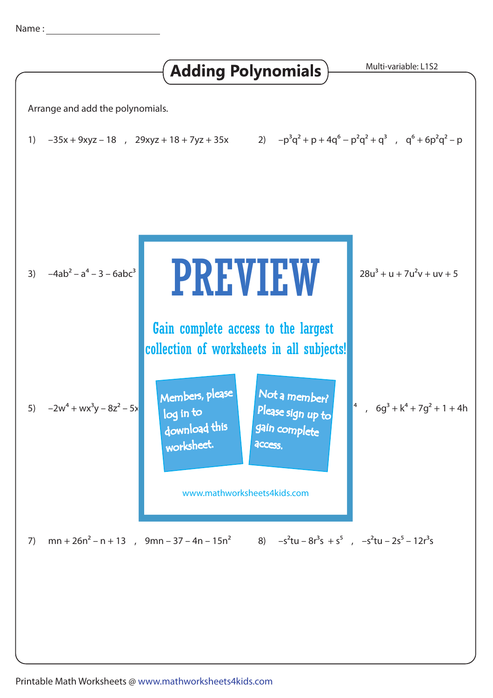